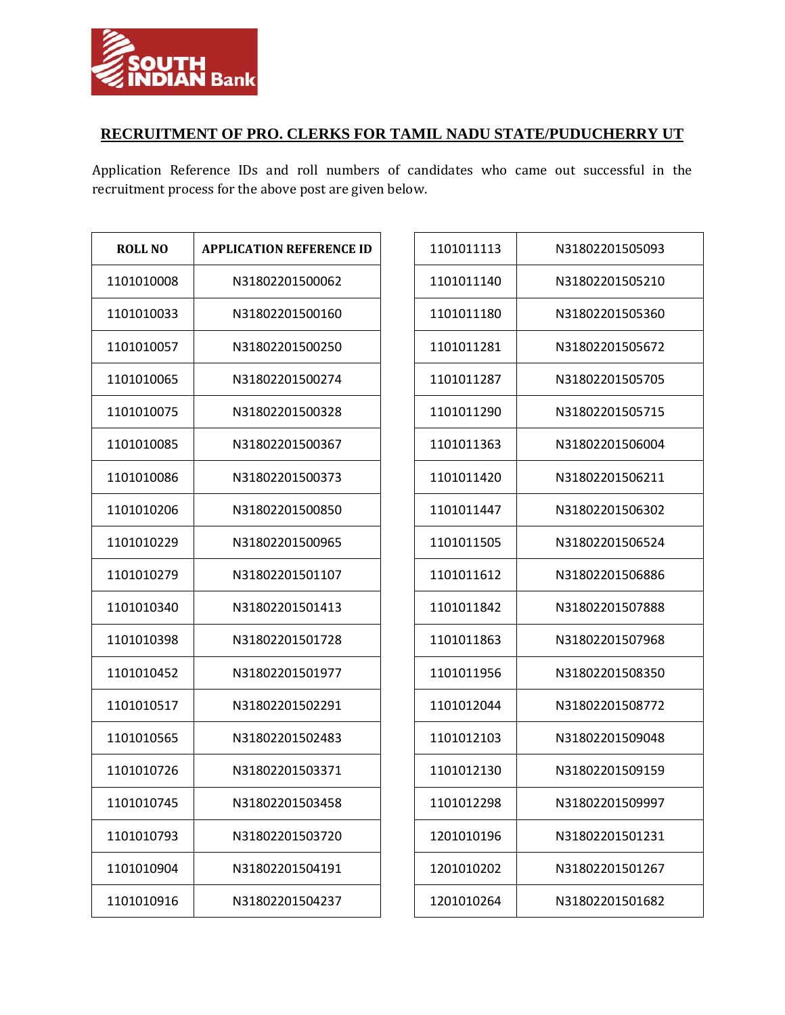

## **RECRUITMENT OF PRO. CLERKS FOR TAMIL NADU STATE/PUDUCHERRY UT**

Application Reference IDs and roll numbers of candidates who came out successful in the recruitment process for the above post are given below.

| ROLL NO    | <b>APPLICATION REFERENCE ID</b> |  |  |
|------------|---------------------------------|--|--|
| 1101010008 | N31802201500062                 |  |  |
| 1101010033 | N31802201500160                 |  |  |
| 1101010057 | N31802201500250                 |  |  |
| 1101010065 | N31802201500274                 |  |  |
| 1101010075 | N31802201500328                 |  |  |
| 1101010085 | N31802201500367                 |  |  |
| 1101010086 | N31802201500373                 |  |  |
| 1101010206 | N31802201500850                 |  |  |
| 1101010229 | N31802201500965                 |  |  |
| 1101010279 | N31802201501107                 |  |  |
| 1101010340 | N31802201501413                 |  |  |
| 1101010398 | N31802201501728                 |  |  |
| 1101010452 | N31802201501977                 |  |  |
| 1101010517 | N31802201502291                 |  |  |
| 1101010565 | N31802201502483                 |  |  |
| 1101010726 | N31802201503371                 |  |  |
| 1101010745 | N31802201503458                 |  |  |
| 1101010793 | N31802201503720                 |  |  |
| 1101010904 | N31802201504191                 |  |  |
| 1101010916 | N31802201504237                 |  |  |

| 1101011113 | N31802201505093 |
|------------|-----------------|
| 1101011140 | N31802201505210 |
| 1101011180 | N31802201505360 |
| 1101011281 | N31802201505672 |
| 1101011287 | N31802201505705 |
| 1101011290 | N31802201505715 |
| 1101011363 | N31802201506004 |
| 1101011420 | N31802201506211 |
| 1101011447 | N31802201506302 |
| 1101011505 | N31802201506524 |
| 1101011612 | N31802201506886 |
| 1101011842 | N31802201507888 |
| 1101011863 | N31802201507968 |
| 1101011956 | N31802201508350 |
| 1101012044 | N31802201508772 |
| 1101012103 | N31802201509048 |
| 1101012130 | N31802201509159 |
| 1101012298 | N31802201509997 |
| 1201010196 | N31802201501231 |
| 1201010202 | N31802201501267 |
| 1201010264 | N31802201501682 |